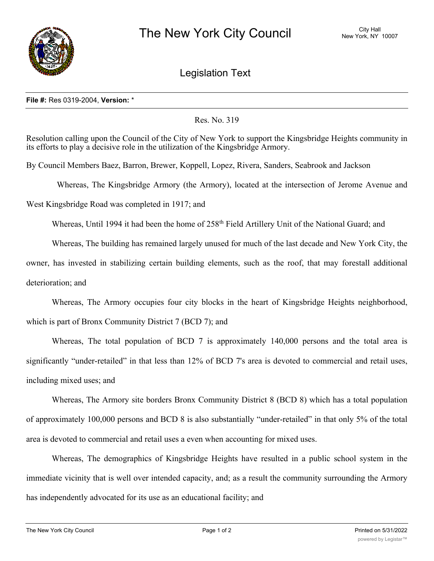

Legislation Text

## **File #:** Res 0319-2004, **Version:** \*

## Res. No. 319

Resolution calling upon the Council of the City of New York to support the Kingsbridge Heights community in its efforts to play a decisive role in the utilization of the Kingsbridge Armory.

By Council Members Baez, Barron, Brewer, Koppell, Lopez, Rivera, Sanders, Seabrook and Jackson

Whereas, The Kingsbridge Armory (the Armory), located at the intersection of Jerome Avenue and

West Kingsbridge Road was completed in 1917; and

Whereas, Until 1994 it had been the home of 258<sup>th</sup> Field Artillery Unit of the National Guard; and

Whereas, The building has remained largely unused for much of the last decade and New York City, the

owner, has invested in stabilizing certain building elements, such as the roof, that may forestall additional deterioration; and

Whereas, The Armory occupies four city blocks in the heart of Kingsbridge Heights neighborhood, which is part of Bronx Community District 7 (BCD 7); and

Whereas, The total population of BCD 7 is approximately 140,000 persons and the total area is significantly "under-retailed" in that less than 12% of BCD 7's area is devoted to commercial and retail uses, including mixed uses; and

Whereas, The Armory site borders Bronx Community District 8 (BCD 8) which has a total population of approximately 100,000 persons and BCD 8 is also substantially "under-retailed" in that only 5% of the total area is devoted to commercial and retail uses a even when accounting for mixed uses.

Whereas, The demographics of Kingsbridge Heights have resulted in a public school system in the immediate vicinity that is well over intended capacity, and; as a result the community surrounding the Armory has independently advocated for its use as an educational facility; and